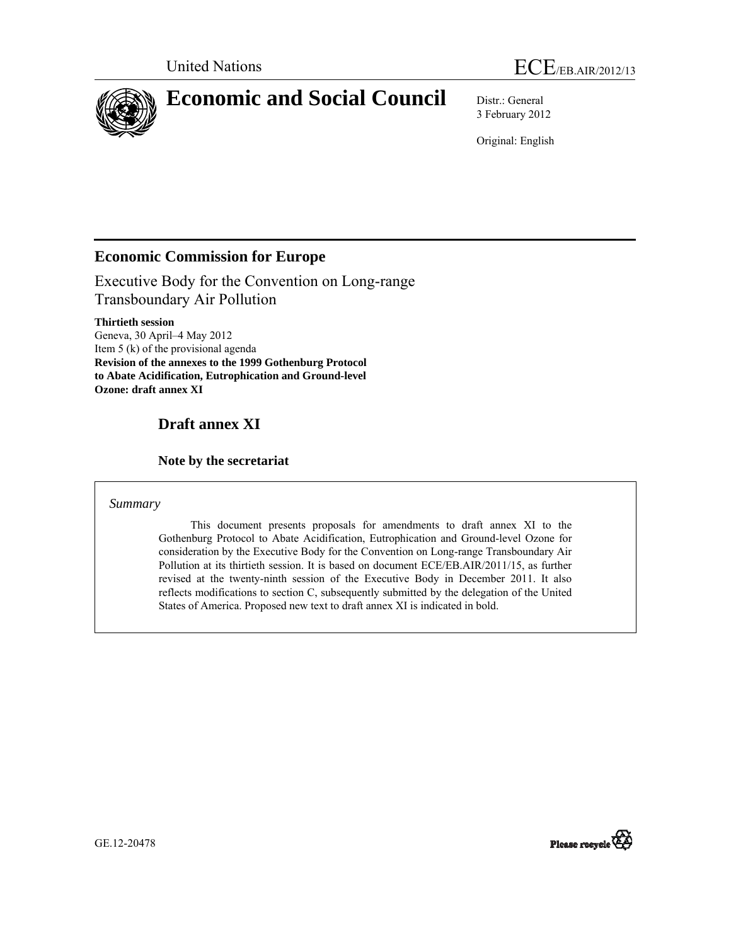

3 February 2012

Original: English

## **Economic Commission for Europe**

Executive Body for the Convention on Long-range Transboundary Air Pollution

**Thirtieth session**  Geneva, 30 April–4 May 2012 Item 5 (k) of the provisional agenda **Revision of the annexes to the 1999 Gothenburg Protocol to Abate Acidification, Eutrophication and Ground-level Ozone: draft annex XI** 

# **Draft annex XI**

### **Note by the secretariat**

### *Summary*

 This document presents proposals for amendments to draft annex XI to the Gothenburg Protocol to Abate Acidification, Eutrophication and Ground-level Ozone for consideration by the Executive Body for the Convention on Long-range Transboundary Air Pollution at its thirtieth session. It is based on document ECE/EB.AIR/2011/15, as further revised at the twenty-ninth session of the Executive Body in December 2011. It also reflects modifications to section C, subsequently submitted by the delegation of the United States of America. Proposed new text to draft annex XI is indicated in bold.



GE.12-20478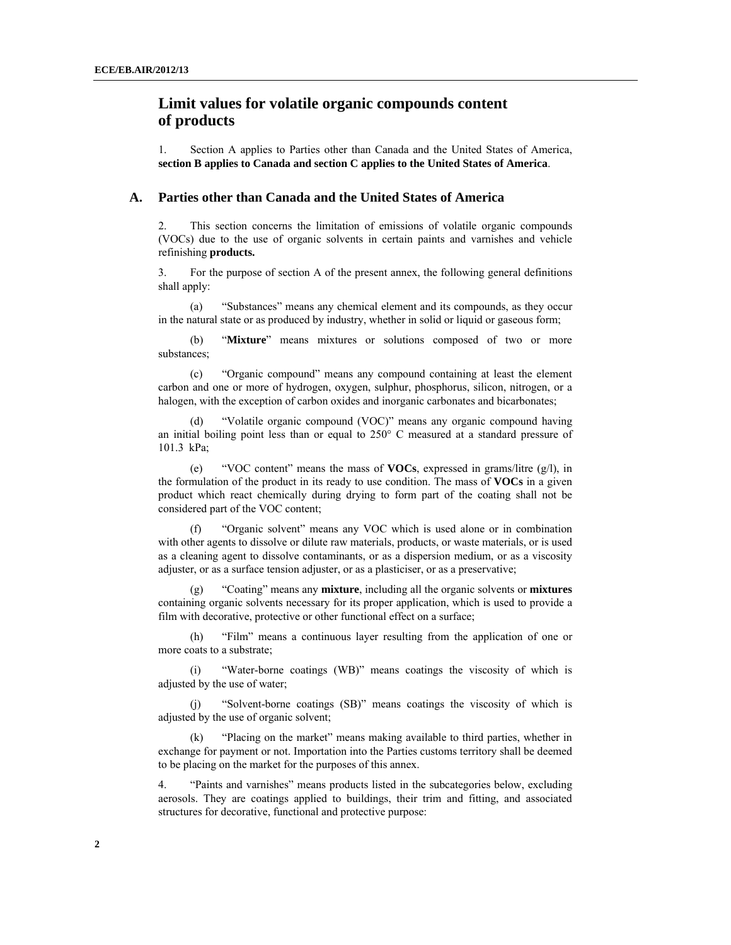### **Limit values for volatile organic compounds content of products**

1. Section A applies to Parties other than Canada and the United States of America, **section B applies to Canada and section C applies to the United States of America**.

#### **A. Parties other than Canada and the United States of America**

2. This section concerns the limitation of emissions of volatile organic compounds (VOCs) due to the use of organic solvents in certain paints and varnishes and vehicle refinishing **products.** 

3. For the purpose of section A of the present annex, the following general definitions shall apply:

 (a) "Substances" means any chemical element and its compounds, as they occur in the natural state or as produced by industry, whether in solid or liquid or gaseous form;

 (b) "**Mixture**" means mixtures or solutions composed of two or more substances;

 (c) "Organic compound" means any compound containing at least the element carbon and one or more of hydrogen, oxygen, sulphur, phosphorus, silicon, nitrogen, or a halogen, with the exception of carbon oxides and inorganic carbonates and bicarbonates;

 (d) "Volatile organic compound (VOC)" means any organic compound having an initial boiling point less than or equal to  $250^{\circ}$  C measured at a standard pressure of 101.3 kPa;

 (e) "VOC content" means the mass of **VOCs**, expressed in grams/litre (g/l), in the formulation of the product in its ready to use condition. The mass of **VOCs** in a given product which react chemically during drying to form part of the coating shall not be considered part of the VOC content;

 (f) "Organic solvent" means any VOC which is used alone or in combination with other agents to dissolve or dilute raw materials, products, or waste materials, or is used as a cleaning agent to dissolve contaminants, or as a dispersion medium, or as a viscosity adjuster, or as a surface tension adjuster, or as a plasticiser, or as a preservative;

 (g) "Coating" means any **mixture**, including all the organic solvents or **mixtures** containing organic solvents necessary for its proper application, which is used to provide a film with decorative, protective or other functional effect on a surface;

 (h) "Film" means a continuous layer resulting from the application of one or more coats to a substrate;

 (i) "Water-borne coatings (WB)" means coatings the viscosity of which is adjusted by the use of water;

 (j) "Solvent-borne coatings (SB)" means coatings the viscosity of which is adjusted by the use of organic solvent;

 (k) "Placing on the market" means making available to third parties, whether in exchange for payment or not. Importation into the Parties customs territory shall be deemed to be placing on the market for the purposes of this annex.

4. "Paints and varnishes" means products listed in the subcategories below, excluding aerosols. They are coatings applied to buildings, their trim and fitting, and associated structures for decorative, functional and protective purpose: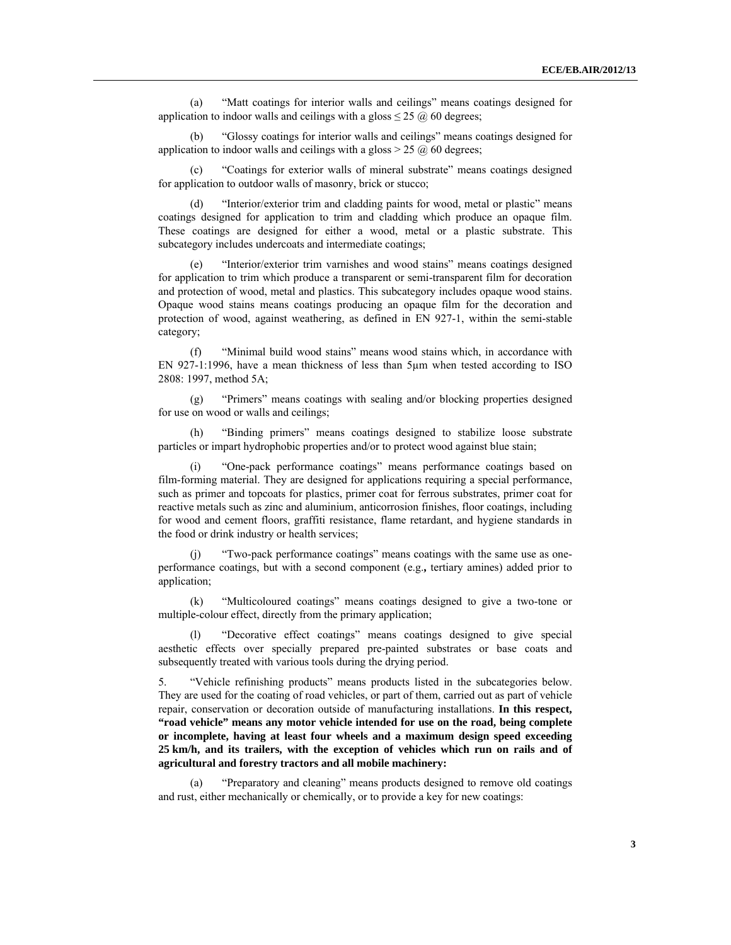(a) "Matt coatings for interior walls and ceilings" means coatings designed for application to indoor walls and ceilings with a gloss  $\leq$  25  $\omega$  60 degrees;

 (b) "Glossy coatings for interior walls and ceilings" means coatings designed for application to indoor walls and ceilings with a gloss  $> 25 \omega$  60 degrees;

"Coatings for exterior walls of mineral substrate" means coatings designed for application to outdoor walls of masonry, brick or stucco;

 (d) "Interior/exterior trim and cladding paints for wood, metal or plastic" means coatings designed for application to trim and cladding which produce an opaque film. These coatings are designed for either a wood, metal or a plastic substrate. This subcategory includes undercoats and intermediate coatings;

 (e) "Interior/exterior trim varnishes and wood stains" means coatings designed for application to trim which produce a transparent or semi-transparent film for decoration and protection of wood, metal and plastics. This subcategory includes opaque wood stains. Opaque wood stains means coatings producing an opaque film for the decoration and protection of wood, against weathering, as defined in EN 927-1, within the semi-stable category;

 (f) "Minimal build wood stains" means wood stains which, in accordance with EN 927-1:1996, have a mean thickness of less than 5µm when tested according to ISO 2808: 1997, method 5A;

 (g) "Primers" means coatings with sealing and/or blocking properties designed for use on wood or walls and ceilings;

 (h) "Binding primers" means coatings designed to stabilize loose substrate particles or impart hydrophobic properties and/or to protect wood against blue stain;

"One-pack performance coatings" means performance coatings based on film-forming material. They are designed for applications requiring a special performance, such as primer and topcoats for plastics, primer coat for ferrous substrates, primer coat for reactive metals such as zinc and aluminium, anticorrosion finishes, floor coatings, including for wood and cement floors, graffiti resistance, flame retardant, and hygiene standards in the food or drink industry or health services;

 (j) "Two-pack performance coatings" means coatings with the same use as oneperformance coatings, but with a second component (e.g.**,** tertiary amines) added prior to application;

"Multicoloured coatings" means coatings designed to give a two-tone or multiple-colour effect, directly from the primary application;

 (l) "Decorative effect coatings" means coatings designed to give special aesthetic effects over specially prepared pre-painted substrates or base coats and subsequently treated with various tools during the drying period.

5. "Vehicle refinishing products" means products listed in the subcategories below. They are used for the coating of road vehicles, or part of them, carried out as part of vehicle repair, conservation or decoration outside of manufacturing installations. **In this respect, "road vehicle" means any motor vehicle intended for use on the road, being complete or incomplete, having at least four wheels and a maximum design speed exceeding 25 km/h, and its trailers, with the exception of vehicles which run on rails and of agricultural and forestry tractors and all mobile machinery:**

 (a) "Preparatory and cleaning" means products designed to remove old coatings and rust, either mechanically or chemically, or to provide a key for new coatings: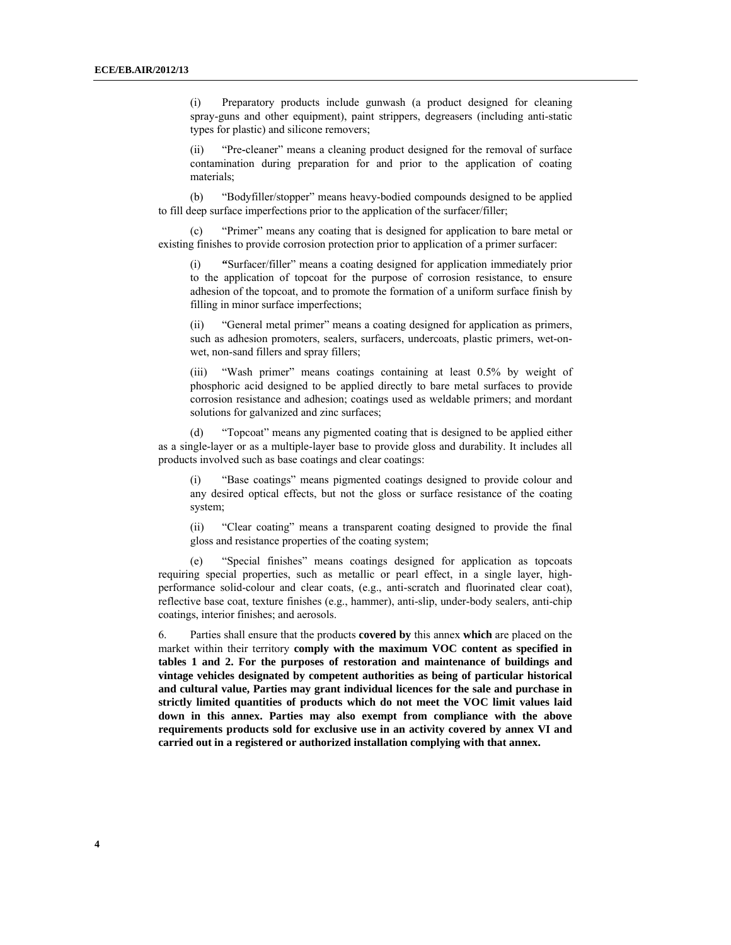(i) Preparatory products include gunwash (a product designed for cleaning spray-guns and other equipment), paint strippers, degreasers (including anti-static types for plastic) and silicone removers;

(ii) "Pre**-**cleaner" means a cleaning product designed for the removal of surface contamination during preparation for and prior to the application of coating materials;

 (b) "Bodyfiller/stopper" means heavy-bodied compounds designed to be applied to fill deep surface imperfections prior to the application of the surfacer/filler;

 (c) "Primer" means any coating that is designed for application to bare metal or existing finishes to provide corrosion protection prior to application of a primer surfacer:

(i) **"**Surfacer/filler" means a coating designed for application immediately prior to the application of topcoat for the purpose of corrosion resistance, to ensure adhesion of the topcoat, and to promote the formation of a uniform surface finish by filling in minor surface imperfections;

(ii) "General metal primer" means a coating designed for application as primers, such as adhesion promoters, sealers, surfacers, undercoats, plastic primers, wet-onwet, non-sand fillers and spray fillers;

(iii) "Wash primer" means coatings containing at least 0.5% by weight of phosphoric acid designed to be applied directly to bare metal surfaces to provide corrosion resistance and adhesion; coatings used as weldable primers; and mordant solutions for galvanized and zinc surfaces;

 (d) "Topcoat" means any pigmented coating that is designed to be applied either as a single-layer or as a multiple-layer base to provide gloss and durability. It includes all products involved such as base coatings and clear coatings:

(i) "Base coatings" means pigmented coatings designed to provide colour and any desired optical effects, but not the gloss or surface resistance of the coating system;

(ii) "Clear coating" means a transparent coating designed to provide the final gloss and resistance properties of the coating system;

 (e) "Special finishes" means coatings designed for application as topcoats requiring special properties, such as metallic or pearl effect, in a single layer, highperformance solid-colour and clear coats, (e.g., anti-scratch and fluorinated clear coat), reflective base coat, texture finishes (e.g., hammer), anti-slip, under-body sealers, anti-chip coatings, interior finishes; and aerosols.

6. Parties shall ensure that the products **covered by** this annex **which** are placed on the market within their territory **comply with the maximum VOC content as specified in tables 1 and 2. For the purposes of restoration and maintenance of buildings and vintage vehicles designated by competent authorities as being of particular historical and cultural value, Parties may grant individual licences for the sale and purchase in strictly limited quantities of products which do not meet the VOC limit values laid down in this annex. Parties may also exempt from compliance with the above requirements products sold for exclusive use in an activity covered by annex VI and carried out in a registered or authorized installation complying with that annex.**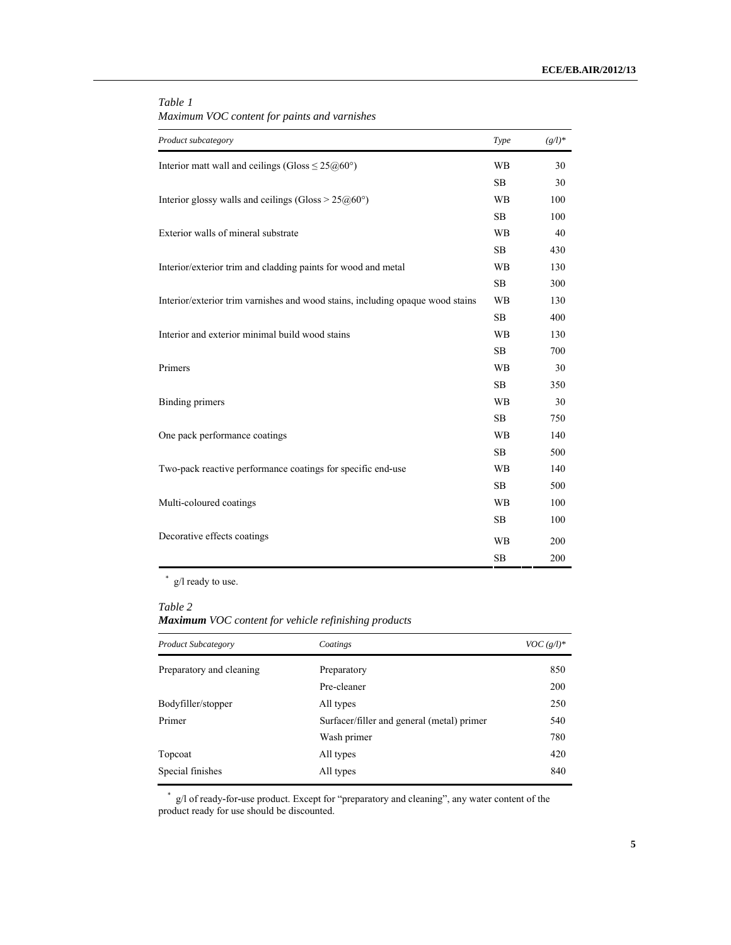| Product subcategory                                                            | Type      | $(g/l)^*$ |
|--------------------------------------------------------------------------------|-----------|-----------|
|                                                                                |           |           |
| Interior matt wall and ceilings (Gloss $\leq 25(260)$ °)                       | <b>WB</b> | 30        |
|                                                                                | <b>SB</b> | 30        |
| Interior glossy walls and ceilings (Gloss > $25@60°$ )                         | <b>WB</b> | 100       |
|                                                                                | <b>SB</b> | 100       |
| Exterior walls of mineral substrate                                            |           | 40        |
|                                                                                | <b>SB</b> | 430       |
| Interior/exterior trim and cladding paints for wood and metal                  | <b>WB</b> | 130       |
|                                                                                | <b>SB</b> | 300       |
| Interior/exterior trim varnishes and wood stains, including opaque wood stains | <b>WB</b> | 130       |
|                                                                                | SB        | 400       |
| Interior and exterior minimal build wood stains                                |           | 130       |
|                                                                                | <b>SB</b> | 700       |
| Primers                                                                        | <b>WB</b> | 30        |
|                                                                                | <b>SB</b> | 350       |
| <b>Binding primers</b>                                                         | <b>WB</b> | 30        |
|                                                                                | <b>SB</b> | 750       |
| One pack performance coatings                                                  | <b>WB</b> | 140       |
|                                                                                | <b>SB</b> | 500       |
| Two-pack reactive performance coatings for specific end-use                    | <b>WB</b> | 140       |
|                                                                                | <b>SB</b> | 500       |
| Multi-coloured coatings                                                        |           | 100       |
|                                                                                | SB        | 100       |
| Decorative effects coatings                                                    | <b>WB</b> | 200       |
|                                                                                | <b>SB</b> | 200       |

#### *Table 1 Maximum VOC content for paints and varnishes*

\* g/l ready to use.

#### *Table 2*

*Maximum VOC content for vehicle refinishing products*

| <b>Product Subcategory</b> | Coatings                                   | $VOC(g/l)^*$ |
|----------------------------|--------------------------------------------|--------------|
| Preparatory and cleaning   | Preparatory                                | 850          |
|                            | Pre-cleaner                                | 200          |
| Bodyfiller/stopper         | All types                                  | 250          |
| Primer                     | Surfacer/filler and general (metal) primer | 540          |
|                            | Wash primer                                | 780          |
| Topcoat                    | All types                                  | 420          |
| Special finishes           | All types                                  | 840          |

\* g/l of ready**-**for**-**use product. Except for "preparatory and cleaning", any water content of the product ready for use should be discounted.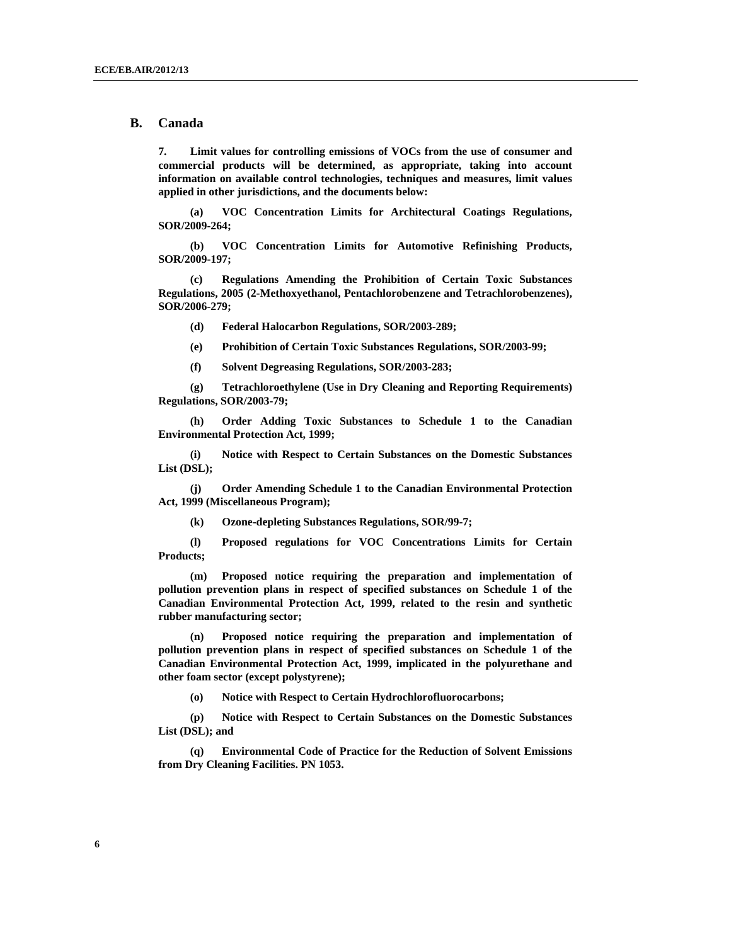#### **B. Canada**

**7. Limit values for controlling emissions of VOCs from the use of consumer and commercial products will be determined, as appropriate, taking into account information on available control technologies, techniques and measures, limit values applied in other jurisdictions, and the documents below:** 

 **(a) VOC Concentration Limits for Architectural Coatings Regulations, SOR/2009-264;** 

 **(b) VOC Concentration Limits for Automotive Refinishing Products, SOR/2009-197;** 

 **(c) Regulations Amending the Prohibition of Certain Toxic Substances Regulations, 2005 (2-Methoxyethanol, Pentachlorobenzene and Tetrachlorobenzenes), SOR/2006-279;** 

 **(d) Federal Halocarbon Regulations, SOR/2003-289;** 

 **(e) Prohibition of Certain Toxic Substances Regulations, SOR/2003-99;** 

 **(f) Solvent Degreasing Regulations, SOR/2003-283;** 

 **(g) Tetrachloroethylene (Use in Dry Cleaning and Reporting Requirements) Regulations, SOR/2003-79;** 

 **(h) Order Adding Toxic Substances to Schedule 1 to the Canadian Environmental Protection Act, 1999;** 

 **(i) Notice with Respect to Certain Substances on the Domestic Substances List (DSL);** 

 **(j) Order Amending Schedule 1 to the Canadian Environmental Protection Act, 1999 (Miscellaneous Program);** 

 **(k) Ozone-depleting Substances Regulations, SOR/99-7;** 

 **(l) Proposed regulations for VOC Concentrations Limits for Certain Products;** 

 **(m) Proposed notice requiring the preparation and implementation of pollution prevention plans in respect of specified substances on Schedule 1 of the Canadian Environmental Protection Act, 1999, related to the resin and synthetic rubber manufacturing sector;** 

 **(n) Proposed notice requiring the preparation and implementation of pollution prevention plans in respect of specified substances on Schedule 1 of the Canadian Environmental Protection Act, 1999, implicated in the polyurethane and other foam sector (except polystyrene);** 

 **(o) Notice with Respect to Certain Hydrochlorofluorocarbons;** 

 **(p) Notice with Respect to Certain Substances on the Domestic Substances List (DSL); and** 

 **(q) Environmental Code of Practice for the Reduction of Solvent Emissions from Dry Cleaning Facilities. PN 1053.**